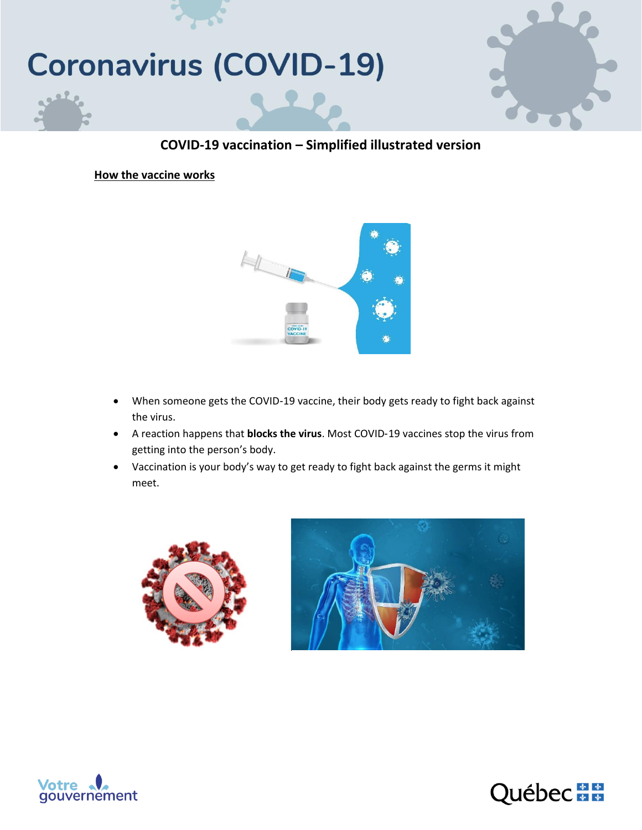

### **COVID-19 vaccination – Simplified illustrated version**

### **How the vaccine works**



- When someone gets the COVID-19 vaccine, their body gets ready to fight back against the virus.
- A reaction happens that **blocks the virus**. Most COVID‑19 vaccines stop the virus from getting into the person's body.
- Vaccination is your body's way to get ready to fight back against the germs it might meet.







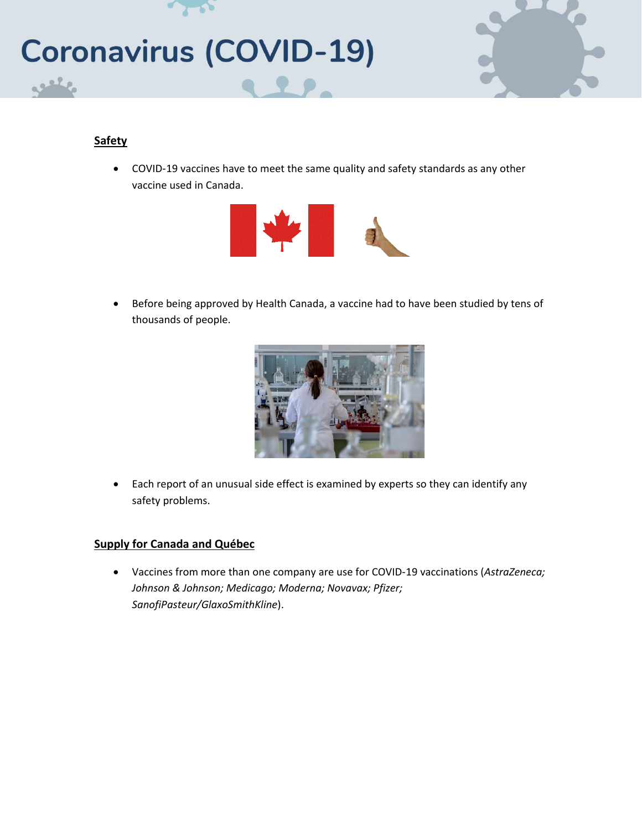



### **Safety**

• COVID‑19 vaccines have to meet the same quality and safety standards as any other vaccine used in Canada.



• Before being approved by Health Canada, a vaccine had to have been studied by tens of thousands of people.



• Each report of an unusual side effect is examined by experts so they can identify any safety problems.

### **Supply for Canada and Québec**

• Vaccines from more than one company are use for COVID‑19 vaccinations (*AstraZeneca; Johnson & Johnson; Medicago; Moderna; Novavax; Pfizer; SanofiPasteur/GlaxoSmithKline*).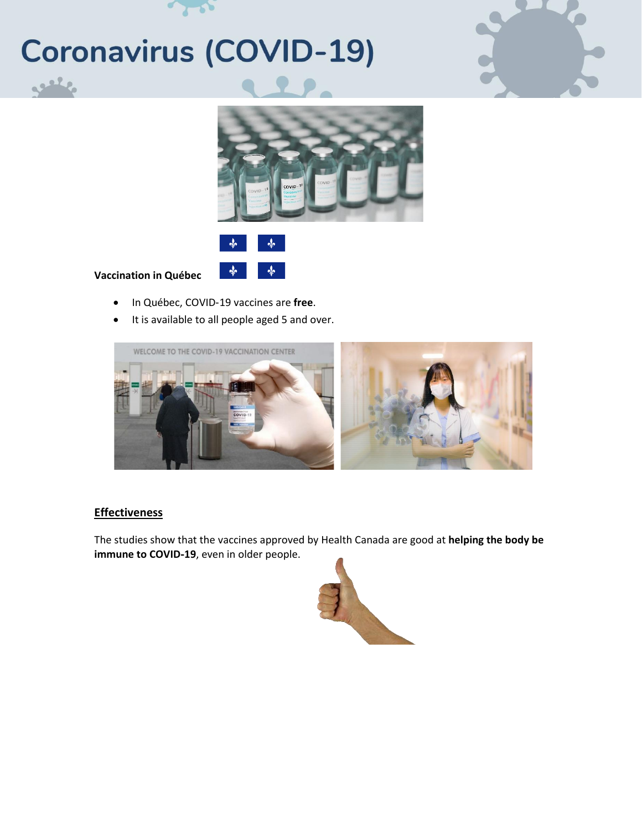







**Vaccination in Québec** 

والمقود

- In Québec, COVID‑19 vaccines are **free**.
- It is available to all people aged 5 and over.



### **Effectiveness**

The studies show that the vaccines approved by Health Canada are good at **helping the body be immune to COVID-19**, even in older people.

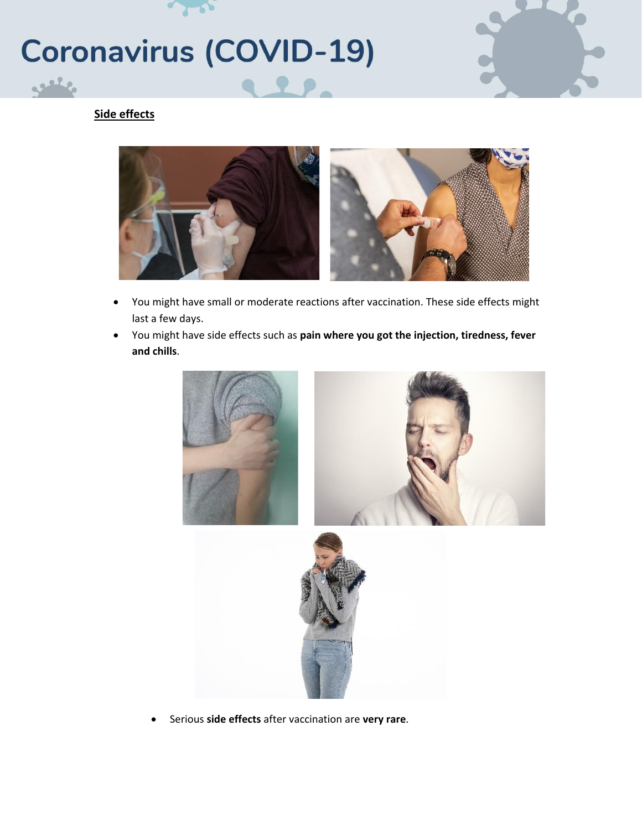

### **Side effects**

والكفوة



- You might have small or moderate reactions after vaccination. These side effects might last a few days.
- You might have side effects such as **pain where you got the injection, tiredness, fever and chills**.



• Serious **side effects** after vaccination are **very rare**.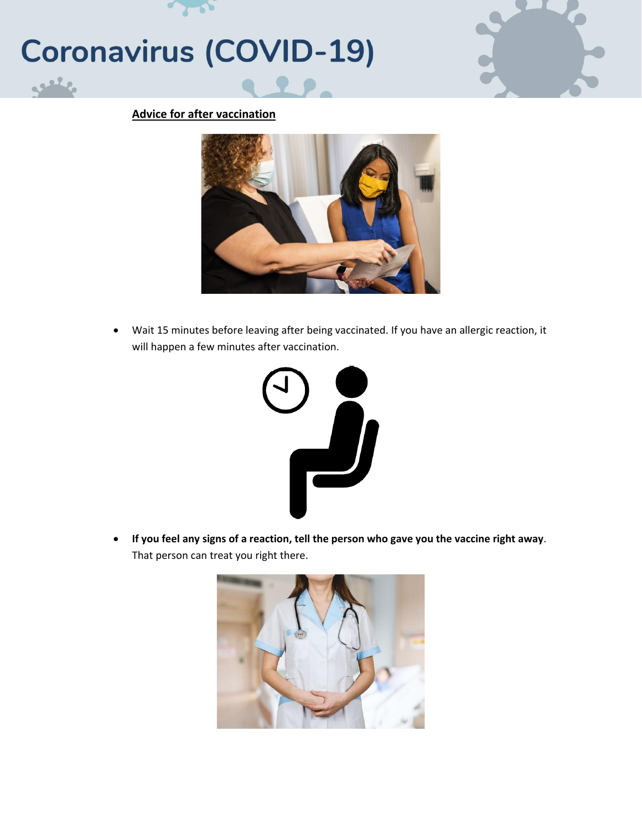بالملوء

### **Advice for after vaccination**



• Wait 15 minutes before leaving after being vaccinated. If you have an allergic reaction, it will happen a few minutes after vaccination.



• **If you feel any signs of a reaction, tell the person who gave you the vaccine right away**. That person can treat you right there.

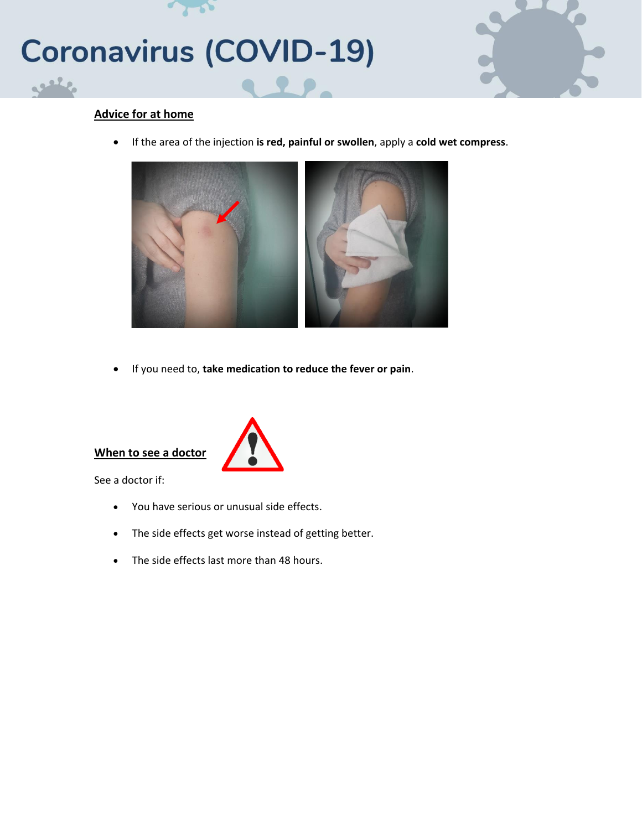

### **Advice for at home**

• If the area of the injection **is red, painful or swollen**, apply a **cold wet compress**.



• If you need to, **take medication to reduce the fever or pain**.

### **When to see a doctor**

See a doctor if:

- You have serious or unusual side effects.
- The side effects get worse instead of getting better.
- The side effects last more than 48 hours.